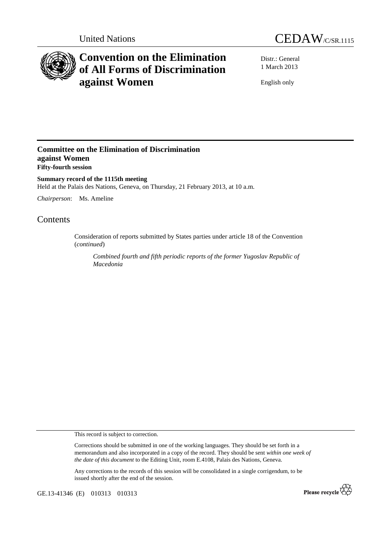



# **Convention on the Elimination of All Forms of Discrimination against Women**

Distr.: General 1 March 2013

English only

### **Committee on the Elimination of Discrimination against Women Fifty-fourth session**

**Summary record of the 1115th meeting**  Held at the Palais des Nations, Geneva, on Thursday, 21 February 2013, at 10 a.m.

*Chairperson*: Ms. Ameline

## Contents

Consideration of reports submitted by States parties under article 18 of the Convention (*continued*)

*Combined fourth and fifth periodic reports of the former Yugoslav Republic of Macedonia* 

This record is subject to correction.

Corrections should be submitted in one of the working languages. They should be set forth in a memorandum and also incorporated in a copy of the record. They should be sent *within one week of the date of this document* to the Editing Unit, room E.4108, Palais des Nations, Geneva.

Any corrections to the records of this session will be consolidated in a single corrigendum, to be issued shortly after the end of the session.

GE.13-41346 (E) 010313 010313

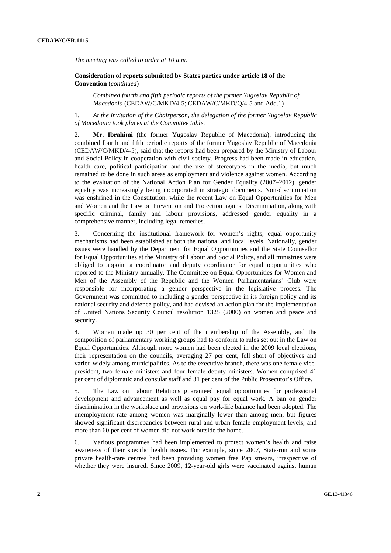*The meeting was called to order at 10 a.m.* 

 **Consideration of reports submitted by States parties under article 18 of the Convention** (*continued*)

*Combined fourth and fifth periodic reports of the former Yugoslav Republic of Macedonia* (CEDAW/C/MKD/4-5; CEDAW/C/MKD/Q/4-5 and Add.1)

1. *At the invitation of the Chairperson, the delegation of the former Yugoslav Republic of Macedonia took places at the Committee table.* 

2. **Mr. Ibrahimi** (the former Yugoslav Republic of Macedonia), introducing the combined fourth and fifth periodic reports of the former Yugoslav Republic of Macedonia (CEDAW/C/MKD/4-5), said that the reports had been prepared by the Ministry of Labour and Social Policy in cooperation with civil society. Progress had been made in education, health care, political participation and the use of stereotypes in the media, but much remained to be done in such areas as employment and violence against women. According to the evaluation of the National Action Plan for Gender Equality (2007–2012), gender equality was increasingly being incorporated in strategic documents. Non-discrimination was enshrined in the Constitution, while the recent Law on Equal Opportunities for Men and Women and the Law on Prevention and Protection against Discrimination, along with specific criminal, family and labour provisions, addressed gender equality in a comprehensive manner, including legal remedies.

3. Concerning the institutional framework for women's rights, equal opportunity mechanisms had been established at both the national and local levels. Nationally, gender issues were handled by the Department for Equal Opportunities and the State Counsellor for Equal Opportunities at the Ministry of Labour and Social Policy, and all ministries were obliged to appoint a coordinator and deputy coordinator for equal opportunities who reported to the Ministry annually. The Committee on Equal Opportunities for Women and Men of the Assembly of the Republic and the Women Parliamentarians' Club were responsible for incorporating a gender perspective in the legislative process. The Government was committed to including a gender perspective in its foreign policy and its national security and defence policy, and had devised an action plan for the implementation of United Nations Security Council resolution 1325 (2000) on women and peace and security.

4. Women made up 30 per cent of the membership of the Assembly, and the composition of parliamentary working groups had to conform to rules set out in the Law on Equal Opportunities. Although more women had been elected in the 2009 local elections, their representation on the councils, averaging 27 per cent, fell short of objectives and varied widely among municipalities. As to the executive branch, there was one female vicepresident, two female ministers and four female deputy ministers. Women comprised 41 per cent of diplomatic and consular staff and 31 per cent of the Public Prosecutor's Office.

5. The Law on Labour Relations guaranteed equal opportunities for professional development and advancement as well as equal pay for equal work. A ban on gender discrimination in the workplace and provisions on work-life balance had been adopted. The unemployment rate among women was marginally lower than among men, but figures showed significant discrepancies between rural and urban female employment levels, and more than 60 per cent of women did not work outside the home.

6. Various programmes had been implemented to protect women's health and raise awareness of their specific health issues. For example, since 2007, State-run and some private health-care centres had been providing women free Pap smears, irrespective of whether they were insured. Since 2009, 12-year-old girls were vaccinated against human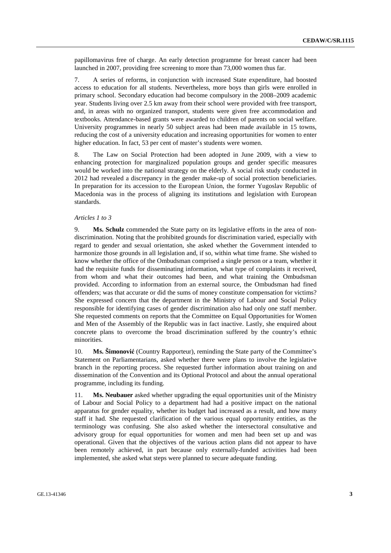papillomavirus free of charge. An early detection programme for breast cancer had been launched in 2007, providing free screening to more than 73,000 women thus far.

7. A series of reforms, in conjunction with increased State expenditure, had boosted access to education for all students. Nevertheless, more boys than girls were enrolled in primary school. Secondary education had become compulsory in the 2008–2009 academic year. Students living over 2.5 km away from their school were provided with free transport, and, in areas with no organized transport, students were given free accommodation and textbooks. Attendance-based grants were awarded to children of parents on social welfare. University programmes in nearly 50 subject areas had been made available in 15 towns, reducing the cost of a university education and increasing opportunities for women to enter higher education. In fact, 53 per cent of master's students were women.

8. The Law on Social Protection had been adopted in June 2009, with a view to enhancing protection for marginalized population groups and gender specific measures would be worked into the national strategy on the elderly. A social risk study conducted in 2012 had revealed a discrepancy in the gender make-up of social protection beneficiaries. In preparation for its accession to the European Union, the former Yugoslav Republic of Macedonia was in the process of aligning its institutions and legislation with European standards.

#### *Articles 1 to 3*

9. **Ms. Schulz** commended the State party on its legislative efforts in the area of nondiscrimination. Noting that the prohibited grounds for discrimination varied, especially with regard to gender and sexual orientation, she asked whether the Government intended to harmonize those grounds in all legislation and, if so, within what time frame. She wished to know whether the office of the Ombudsman comprised a single person or a team, whether it had the requisite funds for disseminating information, what type of complaints it received, from whom and what their outcomes had been, and what training the Ombudsman provided. According to information from an external source, the Ombudsman had fined offenders; was that accurate or did the sums of money constitute compensation for victims? She expressed concern that the department in the Ministry of Labour and Social Policy responsible for identifying cases of gender discrimination also had only one staff member. She requested comments on reports that the Committee on Equal Opportunities for Women and Men of the Assembly of the Republic was in fact inactive. Lastly, she enquired about concrete plans to overcome the broad discrimination suffered by the country's ethnic minorities.

10. **Ms. Šimonović** (Country Rapporteur), reminding the State party of the Committee's Statement on Parliamentarians, asked whether there were plans to involve the legislative branch in the reporting process. She requested further information about training on and dissemination of the Convention and its Optional Protocol and about the annual operational programme, including its funding.

11. **Ms. Neubauer** asked whether upgrading the equal opportunities unit of the Ministry of Labour and Social Policy to a department had had a positive impact on the national apparatus for gender equality, whether its budget had increased as a result, and how many staff it had. She requested clarification of the various equal opportunity entities, as the terminology was confusing. She also asked whether the intersectoral consultative and advisory group for equal opportunities for women and men had been set up and was operational. Given that the objectives of the various action plans did not appear to have been remotely achieved, in part because only externally-funded activities had been implemented, she asked what steps were planned to secure adequate funding.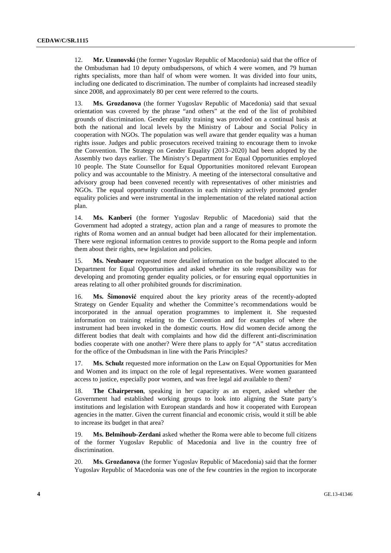12. **Mr. Uzunovski** (the former Yugoslav Republic of Macedonia) said that the office of the Ombudsman had 10 deputy ombudspersons, of which 4 were women, and 79 human rights specialists, more than half of whom were women. It was divided into four units, including one dedicated to discrimination. The number of complaints had increased steadily since 2008, and approximately 80 per cent were referred to the courts.

13. **Ms. Grozdanova** (the former Yugoslav Republic of Macedonia) said that sexual orientation was covered by the phrase "and others" at the end of the list of prohibited grounds of discrimination. Gender equality training was provided on a continual basis at both the national and local levels by the Ministry of Labour and Social Policy in cooperation with NGOs. The population was well aware that gender equality was a human rights issue. Judges and public prosecutors received training to encourage them to invoke the Convention. The Strategy on Gender Equality (2013–2020) had been adopted by the Assembly two days earlier. The Ministry's Department for Equal Opportunities employed 10 people. The State Counsellor for Equal Opportunities monitored relevant European policy and was accountable to the Ministry. A meeting of the intersectoral consultative and advisory group had been convened recently with representatives of other ministries and NGOs. The equal opportunity coordinators in each ministry actively promoted gender equality policies and were instrumental in the implementation of the related national action plan.

14. **Ms. Kanberi** (the former Yugoslav Republic of Macedonia) said that the Government had adopted a strategy, action plan and a range of measures to promote the rights of Roma women and an annual budget had been allocated for their implementation. There were regional information centres to provide support to the Roma people and inform them about their rights, new legislation and policies.

15. **Ms. Neubauer** requested more detailed information on the budget allocated to the Department for Equal Opportunities and asked whether its sole responsibility was for developing and promoting gender equality policies, or for ensuring equal opportunities in areas relating to all other prohibited grounds for discrimination.

16. **Ms. Šimonović** enquired about the key priority areas of the recently-adopted Strategy on Gender Equality and whether the Committee's recommendations would be incorporated in the annual operation programmes to implement it. She requested information on training relating to the Convention and for examples of where the instrument had been invoked in the domestic courts. How did women decide among the different bodies that dealt with complaints and how did the different anti-discrimination bodies cooperate with one another? Were there plans to apply for "A" status accreditation for the office of the Ombudsman in line with the Paris Principles?

17. **Ms. Schulz** requested more information on the Law on Equal Opportunities for Men and Women and its impact on the role of legal representatives. Were women guaranteed access to justice, especially poor women, and was free legal aid available to them?

18. **The Chairperson**, speaking in her capacity as an expert, asked whether the Government had established working groups to look into aligning the State party's institutions and legislation with European standards and how it cooperated with European agencies in the matter. Given the current financial and economic crisis, would it still be able to increase its budget in that area?

19. **Ms. Belmihoub-Zerdani** asked whether the Roma were able to become full citizens of the former Yugoslav Republic of Macedonia and live in the country free of discrimination.

20. **Ms. Grozdanova** (the former Yugoslav Republic of Macedonia) said that the former Yugoslav Republic of Macedonia was one of the few countries in the region to incorporate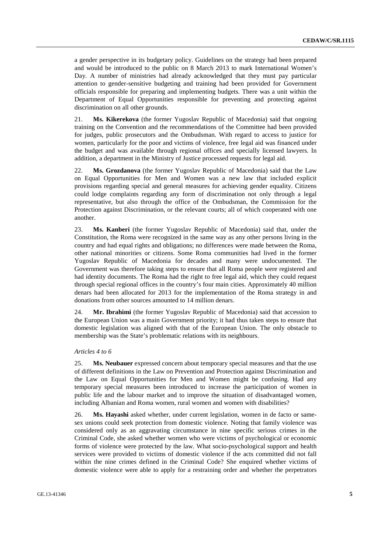a gender perspective in its budgetary policy. Guidelines on the strategy had been prepared and would be introduced to the public on 8 March 2013 to mark International Women's Day. A number of ministries had already acknowledged that they must pay particular attention to gender-sensitive budgeting and training had been provided for Government officials responsible for preparing and implementing budgets. There was a unit within the Department of Equal Opportunities responsible for preventing and protecting against discrimination on all other grounds.

21. **Ms. Kikerekova** (the former Yugoslav Republic of Macedonia) said that ongoing training on the Convention and the recommendations of the Committee had been provided for judges, public prosecutors and the Ombudsman. With regard to access to justice for women, particularly for the poor and victims of violence, free legal aid was financed under the budget and was available through regional offices and specially licensed lawyers. In addition, a department in the Ministry of Justice processed requests for legal aid.

22. **Ms. Grozdanova** (the former Yugoslav Republic of Macedonia) said that the Law on Equal Opportunities for Men and Women was a new law that included explicit provisions regarding special and general measures for achieving gender equality. Citizens could lodge complaints regarding any form of discrimination not only through a legal representative, but also through the office of the Ombudsman, the Commission for the Protection against Discrimination, or the relevant courts; all of which cooperated with one another.

23. **Ms. Kanberi** (the former Yugoslav Republic of Macedonia) said that, under the Constitution, the Roma were recognized in the same way as any other persons living in the country and had equal rights and obligations; no differences were made between the Roma, other national minorities or citizens. Some Roma communities had lived in the former Yugoslav Republic of Macedonia for decades and many were undocumented. The Government was therefore taking steps to ensure that all Roma people were registered and had identity documents. The Roma had the right to free legal aid, which they could request through special regional offices in the country's four main cities. Approximately 40 million denars had been allocated for 2013 for the implementation of the Roma strategy in and donations from other sources amounted to 14 million denars.

24. **Mr. Ibrahimi** (the former Yugoslav Republic of Macedonia) said that accession to the European Union was a main Government priority; it had thus taken steps to ensure that domestic legislation was aligned with that of the European Union. The only obstacle to membership was the State's problematic relations with its neighbours.

#### *Articles 4 to 6*

25. **Ms. Neubauer** expressed concern about temporary special measures and that the use of different definitions in the Law on Prevention and Protection against Discrimination and the Law on Equal Opportunities for Men and Women might be confusing. Had any temporary special measures been introduced to increase the participation of women in public life and the labour market and to improve the situation of disadvantaged women, including Albanian and Roma women, rural women and women with disabilities?

26. **Ms. Hayashi** asked whether, under current legislation, women in de facto or samesex unions could seek protection from domestic violence. Noting that family violence was considered only as an aggravating circumstance in nine specific serious crimes in the Criminal Code, she asked whether women who were victims of psychological or economic forms of violence were protected by the law. What socio-psychological support and health services were provided to victims of domestic violence if the acts committed did not fall within the nine crimes defined in the Criminal Code? She enquired whether victims of domestic violence were able to apply for a restraining order and whether the perpetrators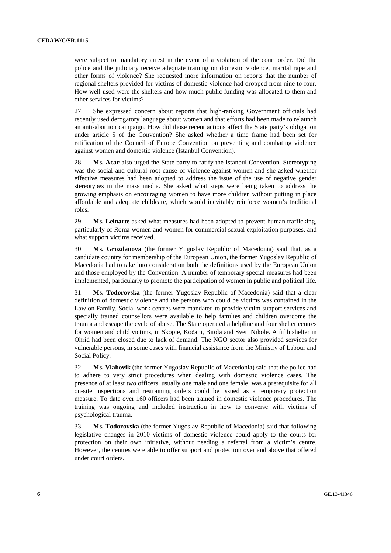were subject to mandatory arrest in the event of a violation of the court order. Did the police and the judiciary receive adequate training on domestic violence, marital rape and other forms of violence? She requested more information on reports that the number of regional shelters provided for victims of domestic violence had dropped from nine to four. How well used were the shelters and how much public funding was allocated to them and other services for victims?

27. She expressed concern about reports that high-ranking Government officials had recently used derogatory language about women and that efforts had been made to relaunch an anti-abortion campaign. How did those recent actions affect the State party's obligation under article 5 of the Convention? She asked whether a time frame had been set for ratification of the Council of Europe Convention on preventing and combating violence against women and domestic violence (Istanbul Convention).

28. **Ms. Acar** also urged the State party to ratify the Istanbul Convention. Stereotyping was the social and cultural root cause of violence against women and she asked whether effective measures had been adopted to address the issue of the use of negative gender stereotypes in the mass media. She asked what steps were being taken to address the growing emphasis on encouraging women to have more children without putting in place affordable and adequate childcare, which would inevitably reinforce women's traditional roles.

29. **Ms. Leinarte** asked what measures had been adopted to prevent human trafficking, particularly of Roma women and women for commercial sexual exploitation purposes, and what support victims received.

30. **Ms. Grozdanova** (the former Yugoslav Republic of Macedonia) said that, as a candidate country for membership of the European Union, the former Yugoslav Republic of Macedonia had to take into consideration both the definitions used by the European Union and those employed by the Convention. A number of temporary special measures had been implemented, particularly to promote the participation of women in public and political life.

31. **Ms. Todorovska** (the former Yugoslav Republic of Macedonia) said that a clear definition of domestic violence and the persons who could be victims was contained in the Law on Family. Social work centres were mandated to provide victim support services and specially trained counsellors were available to help families and children overcome the trauma and escape the cycle of abuse. The State operated a helpline and four shelter centres for women and child victims, in Skopje, Kočani, Bitola and Sveti Nikole. A fifth shelter in Ohrid had been closed due to lack of demand. The NGO sector also provided services for vulnerable persons, in some cases with financial assistance from the Ministry of Labour and Social Policy.

32. **Ms. Vlahovik** (the former Yugoslav Republic of Macedonia) said that the police had to adhere to very strict procedures when dealing with domestic violence cases. The presence of at least two officers, usually one male and one female, was a prerequisite for all on-site inspections and restraining orders could be issued as a temporary protection measure. To date over 160 officers had been trained in domestic violence procedures. The training was ongoing and included instruction in how to converse with victims of psychological trauma.

33. **Ms. Todorovska** (the former Yugoslav Republic of Macedonia) said that following legislative changes in 2010 victims of domestic violence could apply to the courts for protection on their own initiative, without needing a referral from a victim's centre. However, the centres were able to offer support and protection over and above that offered under court orders.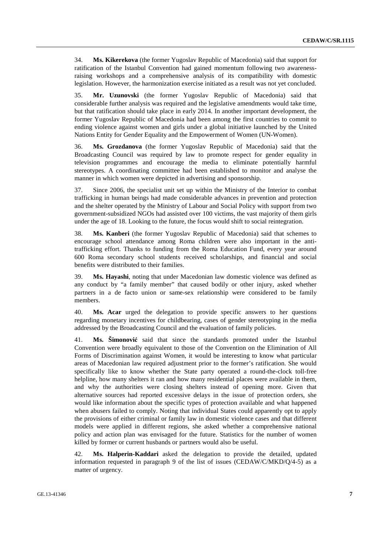34. **Ms. Kikerekova** (the former Yugoslav Republic of Macedonia) said that support for ratification of the Istanbul Convention had gained momentum following two awarenessraising workshops and a comprehensive analysis of its compatibility with domestic legislation. However, the harmonization exercise initiated as a result was not yet concluded.

35. **Mr. Uzunovski** (the former Yugoslav Republic of Macedonia) said that considerable further analysis was required and the legislative amendments would take time, but that ratification should take place in early 2014. In another important development, the former Yugoslav Republic of Macedonia had been among the first countries to commit to ending violence against women and girls under a global initiative launched by the United Nations Entity for Gender Equality and the Empowerment of Women (UN-Women).

36. **Ms. Grozdanova** (the former Yugoslav Republic of Macedonia) said that the Broadcasting Council was required by law to promote respect for gender equality in television programmes and encourage the media to eliminate potentially harmful stereotypes. A coordinating committee had been established to monitor and analyse the manner in which women were depicted in advertising and sponsorship.

37. Since 2006, the specialist unit set up within the Ministry of the Interior to combat trafficking in human beings had made considerable advances in prevention and protection and the shelter operated by the Ministry of Labour and Social Policy with support from two government-subsidized NGOs had assisted over 100 victims, the vast majority of them girls under the age of 18. Looking to the future, the focus would shift to social reintegration.

38. **Ms. Kanberi** (the former Yugoslav Republic of Macedonia) said that schemes to encourage school attendance among Roma children were also important in the antitrafficking effort. Thanks to funding from the Roma Education Fund, every year around 600 Roma secondary school students received scholarships, and financial and social benefits were distributed to their families.

39. **Ms. Hayashi**, noting that under Macedonian law domestic violence was defined as any conduct by "a family member" that caused bodily or other injury, asked whether partners in a de facto union or same-sex relationship were considered to be family members.

40. **Ms. Acar** urged the delegation to provide specific answers to her questions regarding monetary incentives for childbearing, cases of gender stereotyping in the media addressed by the Broadcasting Council and the evaluation of family policies.

41. **Ms. Šimonović** said that since the standards promoted under the Istanbul Convention were broadly equivalent to those of the Convention on the Elimination of All Forms of Discrimination against Women, it would be interesting to know what particular areas of Macedonian law required adjustment prior to the former's ratification. She would specifically like to know whether the State party operated a round-the-clock toll-free helpline, how many shelters it ran and how many residential places were available in them, and why the authorities were closing shelters instead of opening more. Given that alternative sources had reported excessive delays in the issue of protection orders, she would like information about the specific types of protection available and what happened when abusers failed to comply. Noting that individual States could apparently opt to apply the provisions of either criminal or family law in domestic violence cases and that different models were applied in different regions, she asked whether a comprehensive national policy and action plan was envisaged for the future. Statistics for the number of women killed by former or current husbands or partners would also be useful.

42. **Ms. Halperin-Kaddari** asked the delegation to provide the detailed, updated information requested in paragraph 9 of the list of issues (CEDAW/C/MKD/Q/4-5) as a matter of urgency.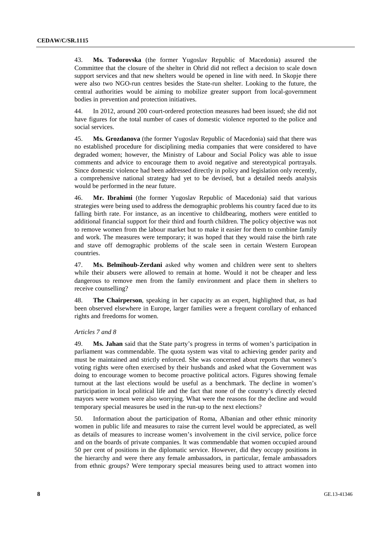43. **Ms. Todorovska** (the former Yugoslav Republic of Macedonia) assured the Committee that the closure of the shelter in Ohrid did not reflect a decision to scale down support services and that new shelters would be opened in line with need. In Skopje there were also two NGO-run centres besides the State-run shelter. Looking to the future, the central authorities would be aiming to mobilize greater support from local-government bodies in prevention and protection initiatives.

44. In 2012, around 200 court-ordered protection measures had been issued; she did not have figures for the total number of cases of domestic violence reported to the police and social services.

45. **Ms. Grozdanova** (the former Yugoslav Republic of Macedonia) said that there was no established procedure for disciplining media companies that were considered to have degraded women; however, the Ministry of Labour and Social Policy was able to issue comments and advice to encourage them to avoid negative and stereotypical portrayals. Since domestic violence had been addressed directly in policy and legislation only recently, a comprehensive national strategy had yet to be devised, but a detailed needs analysis would be performed in the near future.

46. **Mr. Ibrahimi** (the former Yugoslav Republic of Macedonia) said that various strategies were being used to address the demographic problems his country faced due to its falling birth rate. For instance, as an incentive to childbearing, mothers were entitled to additional financial support for their third and fourth children. The policy objective was not to remove women from the labour market but to make it easier for them to combine family and work. The measures were temporary; it was hoped that they would raise the birth rate and stave off demographic problems of the scale seen in certain Western European countries.

47. **Ms. Belmihoub-Zerdani** asked why women and children were sent to shelters while their abusers were allowed to remain at home. Would it not be cheaper and less dangerous to remove men from the family environment and place them in shelters to receive counselling?

48. **The Chairperson**, speaking in her capacity as an expert, highlighted that, as had been observed elsewhere in Europe, larger families were a frequent corollary of enhanced rights and freedoms for women.

#### *Articles 7 and 8*

49. **Ms. Jahan** said that the State party's progress in terms of women's participation in parliament was commendable. The quota system was vital to achieving gender parity and must be maintained and strictly enforced. She was concerned about reports that women's voting rights were often exercised by their husbands and asked what the Government was doing to encourage women to become proactive political actors. Figures showing female turnout at the last elections would be useful as a benchmark. The decline in women's participation in local political life and the fact that none of the country's directly elected mayors were women were also worrying. What were the reasons for the decline and would temporary special measures be used in the run-up to the next elections?

50. Information about the participation of Roma, Albanian and other ethnic minority women in public life and measures to raise the current level would be appreciated, as well as details of measures to increase women's involvement in the civil service, police force and on the boards of private companies. It was commendable that women occupied around 50 per cent of positions in the diplomatic service. However, did they occupy positions in the hierarchy and were there any female ambassadors, in particular, female ambassadors from ethnic groups? Were temporary special measures being used to attract women into